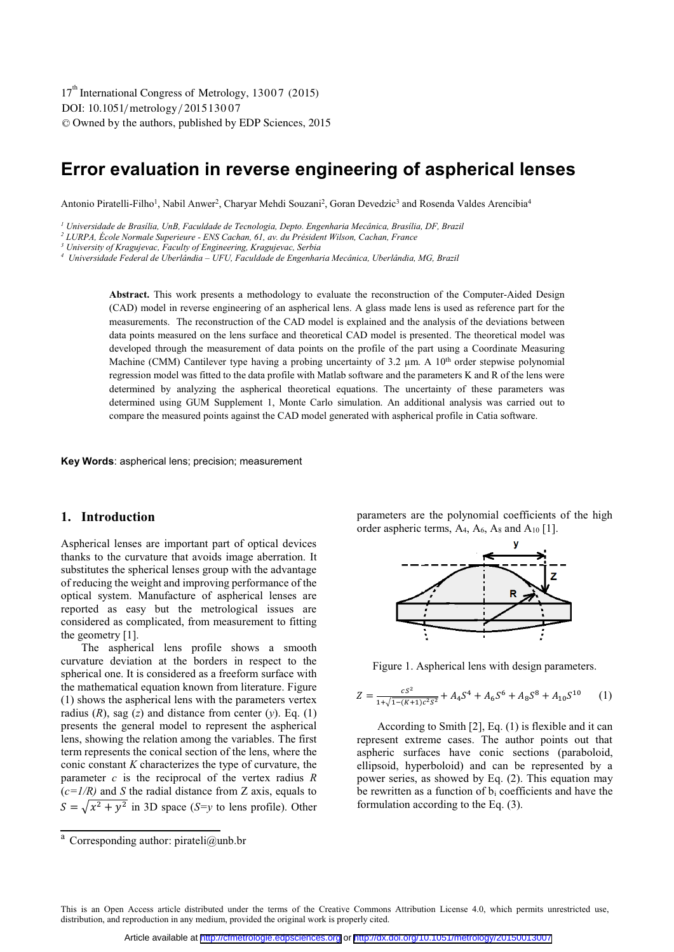DOI: 10.1051/metrology/201513007 -<sup>C</sup> Owned by the authors, published by EDP Sciences, 2015 17<sup>th</sup> International Congress of Metrology, 13007 (2015)

# **Error evaluation in reverse engineering of aspherical lenses**

Antonio Piratelli-Filho<sup>1</sup>, Nabil Anwer<sup>2</sup>, Charyar Mehdi Souzani<sup>2</sup>, Goran Devedzic<sup>3</sup> and Rosenda Valdes Arencibia<sup>4</sup>

*1 Universidade de Brasília, UnB, Faculdade de Tecnologia, Depto. Engenharia Mecânica, Brasília, DF, Brazil* 

<sup>2</sup> LURPA, École Normale Superieure - ENS Cachan, 61, av. du Président Wilson, Cachan, France

*4 Universidade Federal de Uberlândia – UFU, Faculdade de Engenharia Mecânica, Uberlândia, MG, Brazil* 

**Abstract.** This work presents a methodology to evaluate the reconstruction of the Computer-Aided Design (CAD) model in reverse engineering of an aspherical lens. A glass made lens is used as reference part for the measurements. The reconstruction of the CAD model is explained and the analysis of the deviations between data points measured on the lens surface and theoretical CAD model is presented. The theoretical model was developed through the measurement of data points on the profile of the part using a Coordinate Measuring Machine (CMM) Cantilever type having a probing uncertainty of 3.2  $\mu$ m. A 10<sup>th</sup> order stepwise polynomial regression model was fitted to the data profile with Matlab software and the parameters K and R of the lens were determined by analyzing the aspherical theoretical equations. The uncertainty of these parameters was determined using GUM Supplement 1, Monte Carlo simulation. An additional analysis was carried out to compare the measured points against the CAD model generated with aspherical profile in Catia software.

**Key Words**: aspherical lens; precision; measurement

#### **1. Introduction**

Aspherical lenses are important part of optical devices thanks to the curvature that avoids image aberration. It substitutes the spherical lenses group with the advantage of reducing the weight and improving performance of the optical system. Manufacture of aspherical lenses are reported as easy but the metrological issues are considered as complicated, from measurement to fitting the geometry [1].

The aspherical lens profile shows a smooth curvature deviation at the borders in respect to the spherical one. It is considered as a freeform surface with the mathematical equation known from literature. Figure (1) shows the aspherical lens with the parameters vertex radius  $(R)$ , sag  $(z)$  and distance from center  $(v)$ . Eq.  $(1)$ presents the general model to represent the aspherical lens, showing the relation among the variables. The first term represents the conical section of the lens, where the conic constant *K* characterizes the type of curvature, the parameter *c* is the reciprocal of the vertex radius *R*   $(c=1/R)$  and *S* the radial distance from *Z* axis, equals to  $S = \sqrt{x^2 + y^2}$  in 3D space (*S*=*y* to lens profile). Other parameters are the polynomial coefficients of the high order aspheric terms,  $A_4$ ,  $A_6$ ,  $A_8$  and  $A_{10}$  [1].



Figure 1. Aspherical lens with design parameters.

$$
Z = \frac{cs^2}{1 + \sqrt{1 - (K+1)c^2 s^2}} + A_4 S^4 + A_6 S^6 + A_8 S^8 + A_{10} S^{10}
$$
 (1)

According to Smith [2], Eq. (1) is flexible and it can represent extreme cases. The author points out that aspheric surfaces have conic sections (paraboloid, ellipsoid, hyperboloid) and can be represented by a power series, as showed by Eq. (2). This equation may be rewritten as a function of  $b_i$  coefficients and have the formulation according to the Eq. (3).

*<sup>3</sup> University of Kragujevac, Faculty of Engineering, Kragujevac, Serbia* 

<sup>&</sup>lt;sup>a</sup> Corresponding author: pirateli@unb.br

This is an Open Access article distributed under the terms of the Creative Commons Attribution License 4.0, which permits unrestricted use, distribution, and reproduction in any medium, provided the original work is properly cited.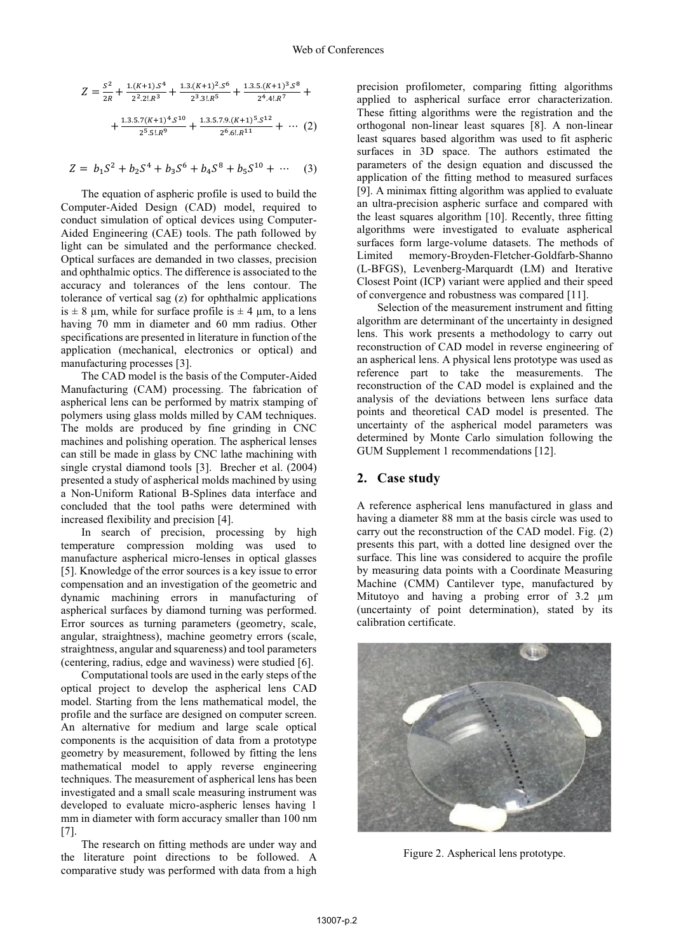$$
Z = \frac{s^2}{2R} + \frac{1.(K+1).S^4}{2^2.2!R^3} + \frac{1.3.(K+1)^2.S^6}{2^3.3!R^5} + \frac{1.3.5.(K+1)^3.S^8}{2^4.4!R^7} + \frac{1.3.5.7(K+1)^4.S^{10}}{2^5.5!R^9} + \frac{1.3.5.7.9.(K+1)^5.S^{12}}{2^6.6!R^{11}} + \cdots (2)
$$

$$
Z = b_1 S^2 + b_2 S^4 + b_3 S^6 + b_4 S^8 + b_5 S^{10} + \cdots
$$
 (3)

The equation of aspheric profile is used to build the Computer-Aided Design (CAD) model, required to conduct simulation of optical devices using Computer-Aided Engineering (CAE) tools. The path followed by light can be simulated and the performance checked. Optical surfaces are demanded in two classes, precision and ophthalmic optics. The difference is associated to the accuracy and tolerances of the lens contour. The tolerance of vertical sag (z) for ophthalmic applications is  $\pm$  8 µm, while for surface profile is  $\pm$  4 µm, to a lens having 70 mm in diameter and 60 mm radius. Other specifications are presented in literature in function of the application (mechanical, electronics or optical) and manufacturing processes [3].

The CAD model is the basis of the Computer-Aided Manufacturing (CAM) processing. The fabrication of aspherical lens can be performed by matrix stamping of polymers using glass molds milled by CAM techniques. The molds are produced by fine grinding in CNC machines and polishing operation. The aspherical lenses can still be made in glass by CNC lathe machining with single crystal diamond tools [3]. Brecher et al. (2004) presented a study of aspherical molds machined by using a Non-Uniform Rational B-Splines data interface and concluded that the tool paths were determined with increased flexibility and precision [4].

In search of precision, processing by high temperature compression molding was used to manufacture aspherical micro-lenses in optical glasses [5]. Knowledge of the error sources is a key issue to error compensation and an investigation of the geometric and dynamic machining errors in manufacturing of aspherical surfaces by diamond turning was performed. Error sources as turning parameters (geometry, scale, angular, straightness), machine geometry errors (scale, straightness, angular and squareness) and tool parameters (centering, radius, edge and waviness) were studied [6].

Computational tools are used in the early steps of the optical project to develop the aspherical lens CAD model. Starting from the lens mathematical model, the profile and the surface are designed on computer screen. An alternative for medium and large scale optical components is the acquisition of data from a prototype geometry by measurement, followed by fitting the lens mathematical model to apply reverse engineering techniques. The measurement of aspherical lens has been investigated and a small scale measuring instrument was developed to evaluate micro-aspheric lenses having 1 mm in diameter with form accuracy smaller than 100 nm [7].

The research on fitting methods are under way and the literature point directions to be followed. A comparative study was performed with data from a high

precision profilometer, comparing fitting algorithms applied to aspherical surface error characterization. These fitting algorithms were the registration and the orthogonal non-linear least squares [8]. A non-linear least squares based algorithm was used to fit aspheric surfaces in 3D space. The authors estimated the parameters of the design equation and discussed the application of the fitting method to measured surfaces [9]. A minimax fitting algorithm was applied to evaluate an ultra-precision aspheric surface and compared with the least squares algorithm [10]. Recently, three fitting algorithms were investigated to evaluate aspherical surfaces form large-volume datasets. The methods of Limited memory-Broyden-Fletcher-Goldfarb-Shanno (L-BFGS), Levenberg-Marquardt (LM) and Iterative Closest Point (ICP) variant were applied and their speed of convergence and robustness was compared [11].

Selection of the measurement instrument and fitting algorithm are determinant of the uncertainty in designed lens. This work presents a methodology to carry out reconstruction of CAD model in reverse engineering of an aspherical lens. A physical lens prototype was used as reference part to take the measurements. The reconstruction of the CAD model is explained and the analysis of the deviations between lens surface data points and theoretical CAD model is presented. The uncertainty of the aspherical model parameters was determined by Monte Carlo simulation following the GUM Supplement 1 recommendations [12].

### **2. Case study**

A reference aspherical lens manufactured in glass and having a diameter 88 mm at the basis circle was used to carry out the reconstruction of the CAD model. Fig. (2) presents this part, with a dotted line designed over the surface. This line was considered to acquire the profile by measuring data points with a Coordinate Measuring Machine (CMM) Cantilever type, manufactured by Mitutoyo and having a probing error of 3.2  $\mu$ m (uncertainty of point determination), stated by its calibration certificate.



Figure 2. Aspherical lens prototype.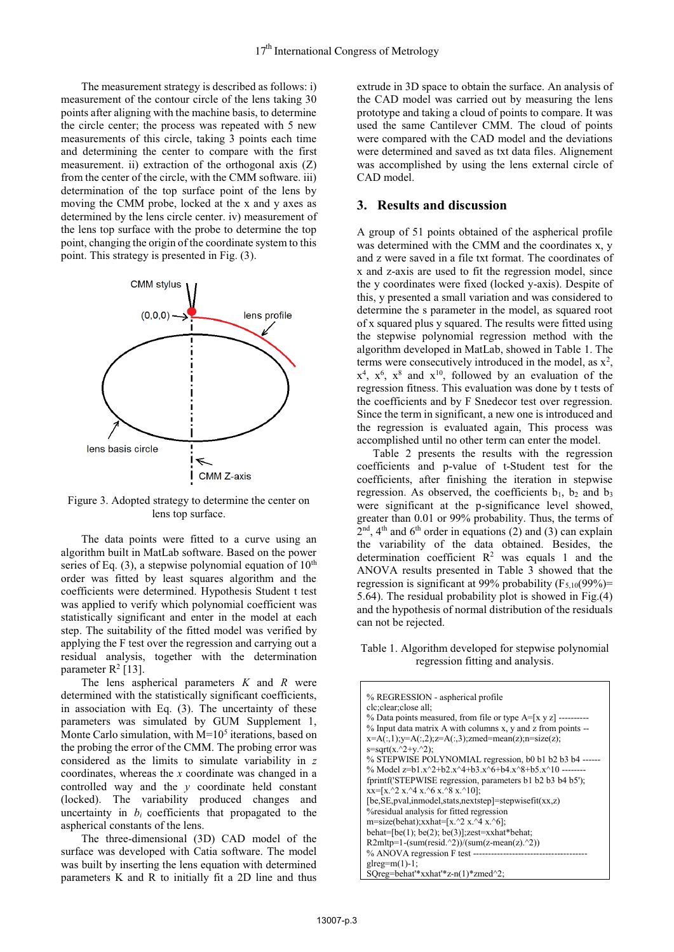The measurement strategy is described as follows: i) measurement of the contour circle of the lens taking 30 points after aligning with the machine basis, to determine the circle center; the process was repeated with 5 new measurements of this circle, taking 3 points each time and determining the center to compare with the first measurement. ii) extraction of the orthogonal axis (Z) from the center of the circle, with the CMM software. iii) determination of the top surface point of the lens by moving the CMM probe, locked at the x and y axes as determined by the lens circle center. iv) measurement of the lens top surface with the probe to determine the top point, changing the origin of the coordinate system to this point. This strategy is presented in Fig. (3).



Figure 3. Adopted strategy to determine the center on lens top surface.

The data points were fitted to a curve using an algorithm built in MatLab software. Based on the power series of Eq. (3), a stepwise polynomial equation of  $10<sup>th</sup>$ order was fitted by least squares algorithm and the coefficients were determined. Hypothesis Student t test was applied to verify which polynomial coefficient was statistically significant and enter in the model at each step. The suitability of the fitted model was verified by applying the F test over the regression and carrying out a residual analysis, together with the determination parameter  $R^2$  [13].

The lens aspherical parameters *K* and *R* were determined with the statistically significant coefficients, in association with Eq. (3). The uncertainty of these parameters was simulated by GUM Supplement 1, Monte Carlo simulation, with  $M=10<sup>5</sup>$  iterations, based on the probing the error of the CMM. The probing error was considered as the limits to simulate variability in *z* coordinates, whereas the *x* coordinate was changed in a controlled way and the *y* coordinate held constant (locked). The variability produced changes and uncertainty in  $b_i$  coefficients that propagated to the aspherical constants of the lens.

The three-dimensional (3D) CAD model of the surface was developed with Catia software. The model was built by inserting the lens equation with determined parameters K and R to initially fit a 2D line and thus

extrude in 3D space to obtain the surface. An analysis of the CAD model was carried out by measuring the lens prototype and taking a cloud of points to compare. It was used the same Cantilever CMM. The cloud of points were compared with the CAD model and the deviations were determined and saved as txt data files. Alignement was accomplished by using the lens external circle of CAD model.

## **3. Results and discussion**

A group of 51 points obtained of the aspherical profile was determined with the CMM and the coordinates x, y and z were saved in a file txt format. The coordinates of x and z-axis are used to fit the regression model, since the y coordinates were fixed (locked y-axis). Despite of this, y presented a small variation and was considered to determine the s parameter in the model, as squared root of x squared plus y squared. The results were fitted using the stepwise polynomial regression method with the algorithm developed in MatLab, showed in Table 1. The terms were consecutively introduced in the model, as  $x^2$ ,  $x<sup>4</sup>$ ,  $x<sup>6</sup>$ ,  $x<sup>8</sup>$  and  $x<sup>10</sup>$ , followed by an evaluation of the regression fitness. This evaluation was done by t tests of the coefficients and by F Snedecor test over regression. Since the term in significant, a new one is introduced and the regression is evaluated again, This process was accomplished until no other term can enter the model.

Table 2 presents the results with the regression coefficients and p-value of t-Student test for the coefficients, after finishing the iteration in stepwise regression. As observed, the coefficients  $b_1$ ,  $b_2$  and  $b_3$ were significant at the p-significance level showed, greater than 0.01 or 99% probability. Thus, the terms of  $2<sup>nd</sup>$ , 4<sup>th</sup> and 6<sup>th</sup> order in equations (2) and (3) can explain the variability of the data obtained. Besides, the determination coefficient  $\mathbb{R}^2$  was equals 1 and the ANOVA results presented in Table 3 showed that the regression is significant at 99% probability  $(F_{5,10}(99\%)$ = 5.64). The residual probability plot is showed in Fig.(4) and the hypothesis of normal distribution of the residuals can not be rejected.

Table 1. Algorithm developed for stepwise polynomial regression fitting and analysis.

| % REGRESSION - aspherical profile                                                   |
|-------------------------------------------------------------------------------------|
| clc; clear; close all;                                                              |
| $\%$ Data points measured, from file or type A=[x y z] ----------                   |
| % Input data matrix A with columns x, y and z from points --                        |
| $x=A(:,1); y=A(:,2); z=A(:,3); zmed = mean(z); n = size(z);$                        |
| $s = sqrt(x.^2+y.^2)$ ;                                                             |
| % STEPWISE POLYNOMIAL regression, b0 b1 b2 b3 b4 ------                             |
| % Model z=b1.x^2+b2.x^4+b3.x^6+b4.x^8+b5.x^10 --------                              |
| fprintf('STEPWISE regression, parameters b1 b2 b3 b4 b5');                          |
| $xx=[x.^2 x.^4 x.^6 x.^8 x.^10];$                                                   |
| $[be, SE, pval, \text{imodel}, \text{stats}, \text{nextstep}] = stepwisefit(xx, z)$ |
| <i><b>% operation of the Sylven</b></i> analysis for fitted regression              |
| m=size(behat);xxhat=[x.^2 x.^4 x.^6];                                               |
| behat= $[be(1); be(2); be(3)]$ ; zest=xxhat*behat;                                  |
| $R2mltp=1-(sum(resid.^2))/(sum(z-mean(z.^2))$                                       |
|                                                                                     |
| glreg= $m(1)-1$ ;                                                                   |
| $SQreg=behat'*xxhat'*z-n(1)*zmed^2;$                                                |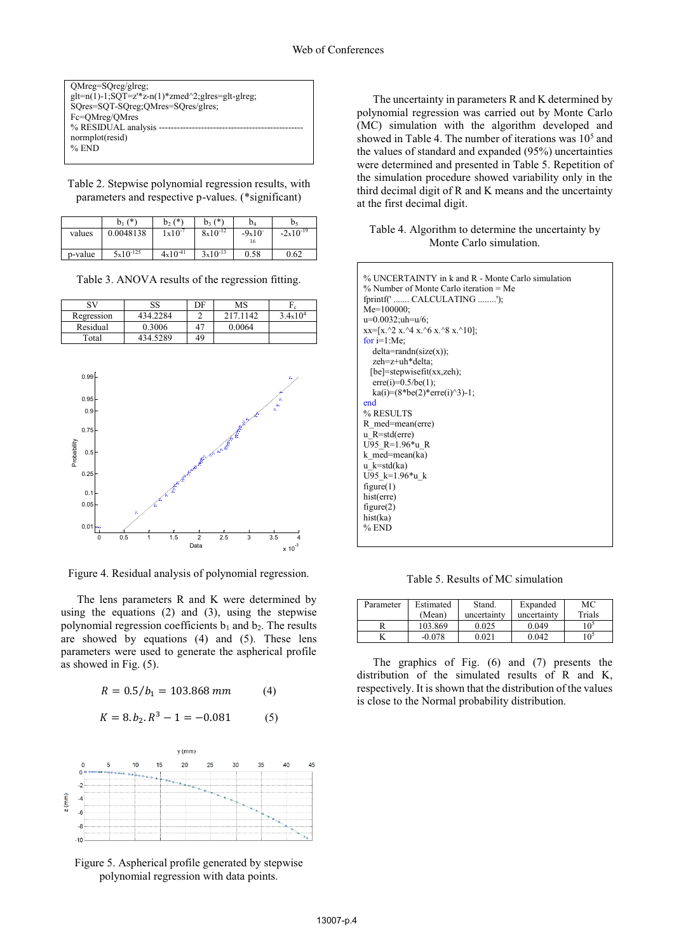| $OMreg=SOreg/glreg;$                                        |
|-------------------------------------------------------------|
| $glt=n(1)-1$ ; $SQT=z^*z-n(1)*zmed^2$ ; $glres=glt-glreg$ ; |
| SQres=SQT-SQreg;QMres=SQres/glres;                          |
| Fc=OMreg/OMres                                              |
| % RESIDUAL analysis -                                       |
| normplot(resid)                                             |
| $%$ END                                                     |
|                                                             |

Table 2. Stepwise polynomial regression results, with parameters and respective p-values. (\*significant)

|         | $(*)$<br>bı ( | $b_2(*)$     | $b_3(*)$     | b,                   | b٢            |
|---------|---------------|--------------|--------------|----------------------|---------------|
| values  | 0.0048138     | $1x10^{-7}$  | $8x10^{-12}$ | $-9x10$ <sup>-</sup> | $-2x10^{-19}$ |
|         |               |              |              | 16                   |               |
| p-value | $5x10^{-125}$ | $4x10^{-41}$ | $3x10^{-13}$ | 0.58                 | 0.62          |

Table 3. ANOVA results of the regression fitting.

| SV         | SS       | DF | MS       |                   |
|------------|----------|----|----------|-------------------|
| Regression | 434.2284 |    | 217.1142 | $3.4 \times 10^4$ |
| Residual   | 0.3006   | 47 | 0.0064   |                   |
| Total      | 434.5289 | 49 |          |                   |



Figure 4. Residual analysis of polynomial regression.

The lens parameters R and K were determined by using the equations  $(2)$  and  $(3)$ , using the stepwise polynomial regression coefficients  $b_1$  and  $b_2$ . The results are showed by equations (4) and (5). These lens parameters were used to generate the aspherical profile as showed in Fig. (5).

$$
R = 0.5/b_1 = 103.868 \, mm \tag{4}
$$

$$
K = 8. b_2. R^3 - 1 = -0.081
$$
 (5)



Figure 5. Aspherical profile generated by stepwise polynomial regression with data points.

The uncertainty in parameters R and K determined by polynomial regression was carried out by Monte Carlo (MC) simulation with the algorithm developed and showed in Table 4. The number of iterations was  $10<sup>5</sup>$  and the values of standard and expanded (95%) uncertainties were determined and presented in Table 5. Repetition of the simulation procedure showed variability only in the third decimal digit of R and K means and the uncertainty at the first decimal digit.

#### Table 4. Algorithm to determine the uncertainty by Monte Carlo simulation.

| % UNCERTAINTY in k and R - Monte Carlo simulation |
|---------------------------------------------------|
| $\%$ Number of Monte Carlo iteration = Me         |
| fprintf('  CALCULATING ');                        |
| $Me=100000$ ;                                     |
| $u=0.0032;$ uh=u/6;                               |
| $xx=[x.^{2}x.^{4}x.^{6}x.^{8}x.^{10}];$           |
| for $i=1:Me$ ;                                    |
| $delta=randn(size(x));$                           |
| zeh=z+uh*delta;                                   |
| $[be]=stepwisefit(xx, zeh);$                      |
| $erre(i)=0.5/be(1);$                              |
| $k a(i)=(8 * b e(2) * error(i) \cdot 3) - 1;$     |
| end                                               |
| % RESULTS                                         |
| R med=mean(erre)                                  |
| $u$ R=std(erre)                                   |
| U95 R=1.96*u R                                    |
| k med=mean(ka)                                    |
| $u \; k = std(ka)$                                |
| U95 k=1.96*u k                                    |
| figure(1)                                         |
| hist(erre)                                        |
| figure(2)                                         |
| hist(ka)                                          |
| $%$ END                                           |
|                                                   |

Table 5. Results of MC simulation

| Parameter | Estimated | Stand.      | Expanded    | МC              |
|-----------|-----------|-------------|-------------|-----------------|
|           | (Mean)    | uncertainty | uncertainty | Trials          |
|           | 103.869   | 0.025       | 0.049       | 105             |
|           | $-0.078$  | 0.021       | 0.042       | 10 <sup>5</sup> |

The graphics of Fig. (6) and (7) presents the distribution of the simulated results of R and K, respectively. It is shown that the distribution of the values is close to the Normal probability distribution.